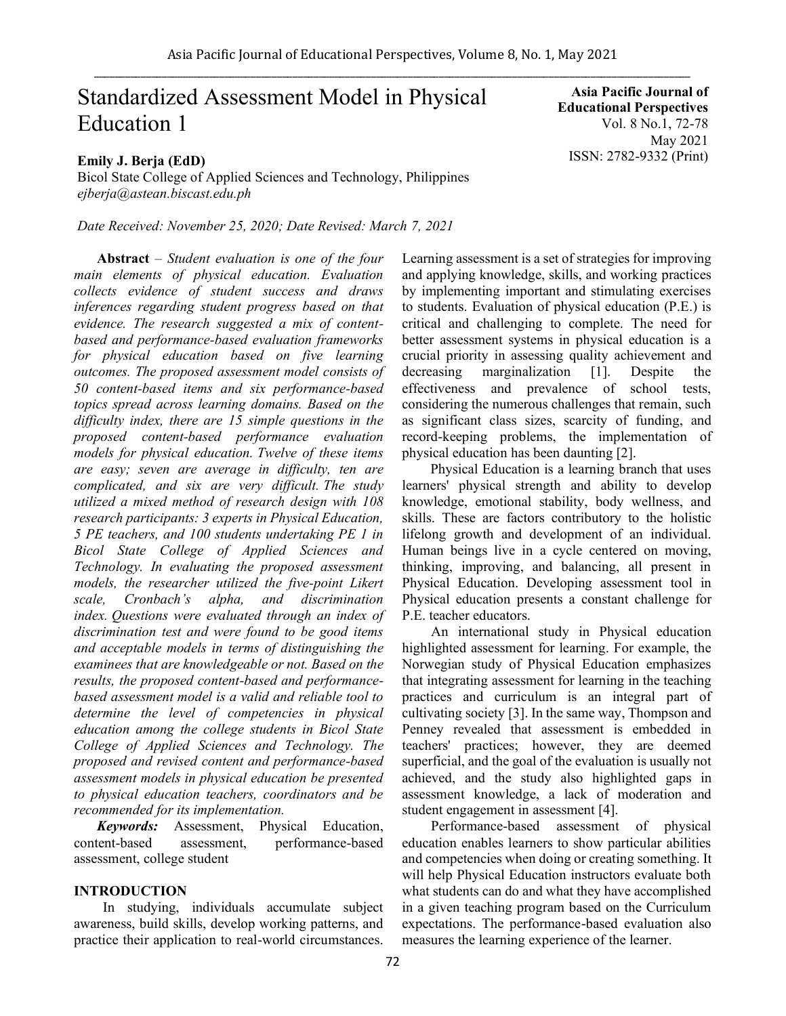# Standardized Assessment Model in Physical Education 1

# **Emily J. Berja (EdD)**

Bicol State College of Applied Sciences and Technology, Philippines *ejberja@astean.biscast.edu.ph*

*Date Received: November 25, 2020; Date Revised: March 7, 2021*

**Abstract** *– Student evaluation is one of the four main elements of physical education. Evaluation collects evidence of student success and draws inferences regarding student progress based on that evidence. The research suggested a mix of contentbased and performance-based evaluation frameworks for physical education based on five learning outcomes. The proposed assessment model consists of 50 content-based items and six performance-based topics spread across learning domains. Based on the difficulty index, there are 15 simple questions in the proposed content-based performance evaluation models for physical education. Twelve of these items are easy; seven are average in difficulty, ten are complicated, and six are very difficult. The study utilized a mixed method of research design with 108 research participants: 3 experts in Physical Education, 5 PE teachers, and 100 students undertaking PE 1 in Bicol State College of Applied Sciences and Technology. In evaluating the proposed assessment models, the researcher utilized the five-point Likert scale, Cronbach's alpha, and discrimination index. Questions were evaluated through an index of discrimination test and were found to be good items and acceptable models in terms of distinguishing the examinees that are knowledgeable or not. Based on the results, the proposed content-based and performancebased assessment model is a valid and reliable tool to determine the level of competencies in physical education among the college students in Bicol State College of Applied Sciences and Technology. The proposed and revised content and performance-based assessment models in physical education be presented to physical education teachers, coordinators and be recommended for its implementation.*

*Keywords:* Assessment, Physical Education, content-based assessment, performance-based assessment, college student

#### **INTRODUCTION**

In studying, individuals accumulate subject awareness, build skills, develop working patterns, and practice their application to real-world circumstances.

**Asia Pacific Journal of Educational Perspectives**  Vol. 8 No.1, 72-78 May 2021 ISSN: 2782-9332 (Print)

Learning assessment is a set of strategies for improving and applying knowledge, skills, and working practices by implementing important and stimulating exercises to students. Evaluation of physical education (P.E.) is critical and challenging to complete. The need for better assessment systems in physical education is a crucial priority in assessing quality achievement and decreasing marginalization [1]. Despite the effectiveness and prevalence of school tests, considering the numerous challenges that remain, such as significant class sizes, scarcity of funding, and record-keeping problems, the implementation of physical education has been daunting [2].

 Physical Education is a learning branch that uses learners' physical strength and ability to develop knowledge, emotional stability, body wellness, and skills. These are factors contributory to the holistic lifelong growth and development of an individual. Human beings live in a cycle centered on moving, thinking, improving, and balancing, all present in Physical Education. Developing assessment tool in Physical education presents a constant challenge for P.E. teacher educators.

An international study in Physical education highlighted assessment for learning. For example, the Norwegian study of Physical Education emphasizes that integrating assessment for learning in the teaching practices and curriculum is an integral part of cultivating society [3]. In the same way, Thompson and Penney revealed that assessment is embedded in teachers' practices; however, they are deemed superficial, and the goal of the evaluation is usually not achieved, and the study also highlighted gaps in assessment knowledge, a lack of moderation and student engagement in assessment [4].

Performance-based assessment of physical education enables learners to show particular abilities and competencies when doing or creating something. It will help Physical Education instructors evaluate both what students can do and what they have accomplished in a given teaching program based on the Curriculum expectations. The performance-based evaluation also measures the learning experience of the learner.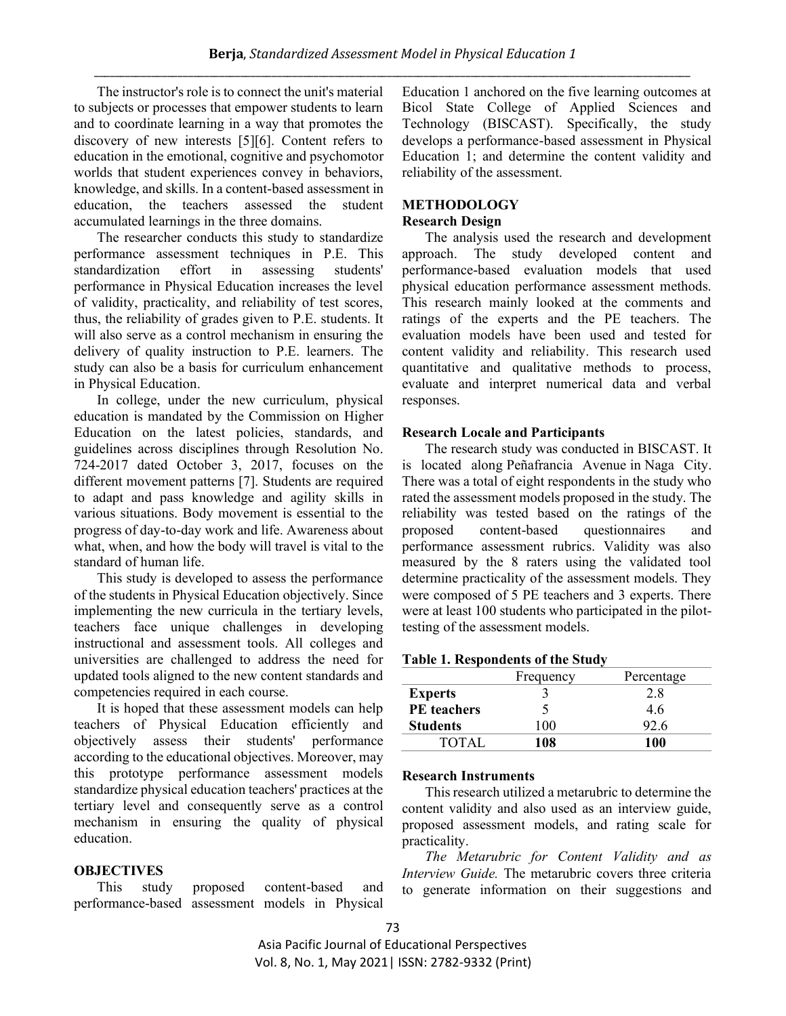The instructor's role is to connect the unit's material to subjects or processes that empower students to learn and to coordinate learning in a way that promotes the discovery of new interests [5][6]. Content refers to education in the emotional, cognitive and psychomotor worlds that student experiences convey in behaviors, knowledge, and skills. In a content-based assessment in education, the teachers assessed the student accumulated learnings in the three domains.

The researcher conducts this study to standardize performance assessment techniques in P.E. This standardization effort in assessing students' performance in Physical Education increases the level of validity, practicality, and reliability of test scores, thus, the reliability of grades given to P.E. students. It will also serve as a control mechanism in ensuring the delivery of quality instruction to P.E. learners. The study can also be a basis for curriculum enhancement in Physical Education.

In college, under the new curriculum, physical education is mandated by the Commission on Higher Education on the latest policies, standards, and guidelines across disciplines through Resolution No. 724-2017 dated October 3, 2017, focuses on the different movement patterns [7]. Students are required to adapt and pass knowledge and agility skills in various situations. Body movement is essential to the progress of day-to-day work and life. Awareness about what, when, and how the body will travel is vital to the standard of human life.

This study is developed to assess the performance of the students in Physical Education objectively. Since implementing the new curricula in the tertiary levels, teachers face unique challenges in developing instructional and assessment tools. All colleges and universities are challenged to address the need for updated tools aligned to the new content standards and competencies required in each course.

It is hoped that these assessment models can help teachers of Physical Education efficiently and objectively assess their students' performance according to the educational objectives. Moreover, may this prototype performance assessment models standardize physical education teachers' practices at the tertiary level and consequently serve as a control mechanism in ensuring the quality of physical education.

## **OBJECTIVES**

This study proposed content-based and performance-based assessment models in Physical

Education 1 anchored on the five learning outcomes at Bicol State College of Applied Sciences and Technology (BISCAST). Specifically, the study develops a performance-based assessment in Physical Education 1; and determine the content validity and reliability of the assessment.

# **METHODOLOGY**

# **Research Design**

The analysis used the research and development approach. The study developed content and performance-based evaluation models that used physical education performance assessment methods. This research mainly looked at the comments and ratings of the experts and the PE teachers. The evaluation models have been used and tested for content validity and reliability. This research used quantitative and qualitative methods to process, evaluate and interpret numerical data and verbal responses.

#### **Research Locale and Participants**

The research study was conducted in BISCAST. It is located along Peñafrancia Avenue in Naga City. There was a total of eight respondents in the study who rated the assessment models proposed in the study. The reliability was tested based on the ratings of the proposed content-based questionnaires and performance assessment rubrics. Validity was also measured by the 8 raters using the validated tool determine practicality of the assessment models. They were composed of 5 PE teachers and 3 experts. There were at least 100 students who participated in the pilottesting of the assessment models.

#### **Table 1. Respondents of the Study**

|                    | Frequency | Percentage |
|--------------------|-----------|------------|
| <b>Experts</b>     |           | 2.8        |
| <b>PE</b> teachers |           | 4.6        |
| <b>Students</b>    | 100       | 92.6       |
| <b>TOTAL</b>       | 108       | 100        |

#### **Research Instruments**

This research utilized a metarubric to determine the content validity and also used as an interview guide, proposed assessment models, and rating scale for practicality.

*The Metarubric for Content Validity and as Interview Guide.* The metarubric covers three criteria to generate information on their suggestions and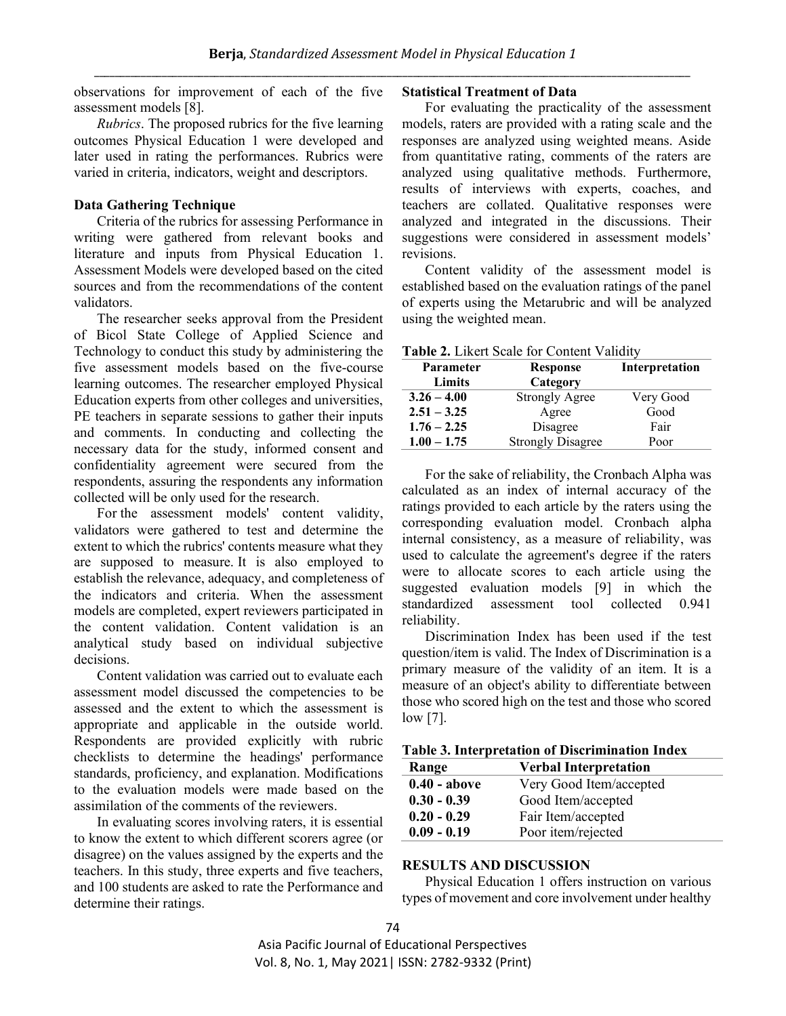observations for improvement of each of the five assessment models [8].

*Rubrics*. The proposed rubrics for the five learning outcomes Physical Education 1 were developed and later used in rating the performances. Rubrics were varied in criteria, indicators, weight and descriptors.

#### **Data Gathering Technique**

Criteria of the rubrics for assessing Performance in writing were gathered from relevant books and literature and inputs from Physical Education 1. Assessment Models were developed based on the cited sources and from the recommendations of the content validators.

The researcher seeks approval from the President of Bicol State College of Applied Science and Technology to conduct this study by administering the five assessment models based on the five-course learning outcomes. The researcher employed Physical Education experts from other colleges and universities, PE teachers in separate sessions to gather their inputs and comments. In conducting and collecting the necessary data for the study, informed consent and confidentiality agreement were secured from the respondents, assuring the respondents any information collected will be only used for the research.

For the assessment models' content validity, validators were gathered to test and determine the extent to which the rubrics' contents measure what they are supposed to measure. It is also employed to establish the relevance, adequacy, and completeness of the indicators and criteria. When the assessment models are completed, expert reviewers participated in the content validation. Content validation is an analytical study based on individual subjective decisions.

Content validation was carried out to evaluate each assessment model discussed the competencies to be assessed and the extent to which the assessment is appropriate and applicable in the outside world. Respondents are provided explicitly with rubric checklists to determine the headings' performance standards, proficiency, and explanation. Modifications to the evaluation models were made based on the assimilation of the comments of the reviewers.

In evaluating scores involving raters, it is essential to know the extent to which different scorers agree (or disagree) on the values assigned by the experts and the teachers. In this study, three experts and five teachers, and 100 students are asked to rate the Performance and determine their ratings.

#### **Statistical Treatment of Data**

For evaluating the practicality of the assessment models, raters are provided with a rating scale and the responses are analyzed using weighted means. Aside from quantitative rating, comments of the raters are analyzed using qualitative methods. Furthermore, results of interviews with experts, coaches, and teachers are collated. Qualitative responses were analyzed and integrated in the discussions. Their suggestions were considered in assessment models' revisions.

Content validity of the assessment model is established based on the evaluation ratings of the panel of experts using the Metarubric and will be analyzed using the weighted mean.

#### **Table 2.** Likert Scale for Content Validity

| Parameter     | <b>Response</b>          | Interpretation |  |  |
|---------------|--------------------------|----------------|--|--|
| Limits        | Category                 |                |  |  |
| $3.26 - 4.00$ | <b>Strongly Agree</b>    | Very Good      |  |  |
| $2.51 - 3.25$ | Agree                    | Good           |  |  |
| $1.76 - 2.25$ | Disagree                 | Fair           |  |  |
| $1.00 - 1.75$ | <b>Strongly Disagree</b> | Poor           |  |  |

For the sake of reliability, the Cronbach Alpha was calculated as an index of internal accuracy of the ratings provided to each article by the raters using the corresponding evaluation model. Cronbach alpha internal consistency, as a measure of reliability, was used to calculate the agreement's degree if the raters were to allocate scores to each article using the suggested evaluation models [9] in which the standardized assessment tool collected 0.941 reliability.

Discrimination Index has been used if the test question/item is valid. The Index of Discrimination is a primary measure of the validity of an item. It is a measure of an object's ability to differentiate between those who scored high on the test and those who scored low [7].

| Range          | <b>Verbal Interpretation</b> |  |
|----------------|------------------------------|--|
| $0.40 - above$ | Very Good Item/accepted      |  |
| $0.30 - 0.39$  | Good Item/accepted           |  |
| $0.20 - 0.29$  | Fair Item/accepted           |  |
| $0.09 - 0.19$  | Poor item/rejected           |  |

#### **RESULTS AND DISCUSSION**

Physical Education 1 offers instruction on various types of movement and core involvement under healthy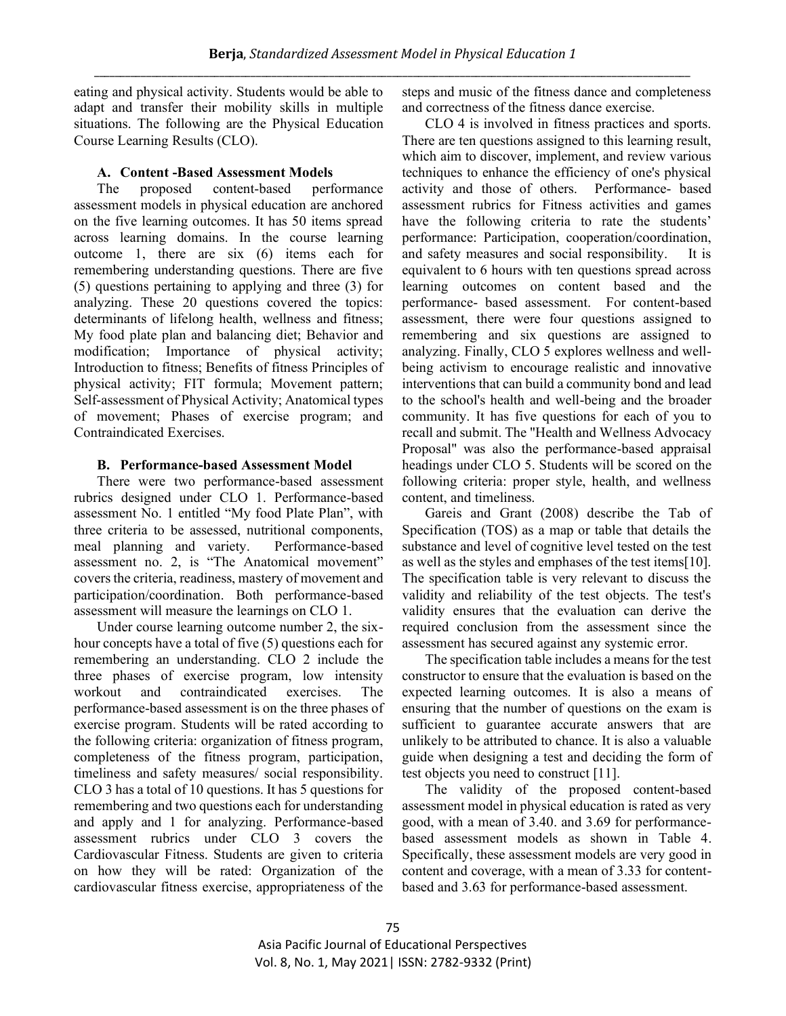eating and physical activity. Students would be able to adapt and transfer their mobility skills in multiple situations. The following are the Physical Education Course Learning Results (CLO).

# **A. Content -Based Assessment Models**

The proposed content-based performance assessment models in physical education are anchored on the five learning outcomes. It has 50 items spread across learning domains. In the course learning outcome 1, there are six (6) items each for remembering understanding questions. There are five (5) questions pertaining to applying and three (3) for analyzing. These 20 questions covered the topics: determinants of lifelong health, wellness and fitness; My food plate plan and balancing diet; Behavior and modification; Importance of physical activity; Introduction to fitness; Benefits of fitness Principles of physical activity; FIT formula; Movement pattern; Self-assessment of Physical Activity; Anatomical types of movement; Phases of exercise program; and Contraindicated Exercises.

## **B. Performance-based Assessment Model**

There were two performance-based assessment rubrics designed under CLO 1. Performance-based assessment No. 1 entitled "My food Plate Plan", with three criteria to be assessed, nutritional components, meal planning and variety. Performance-based assessment no. 2, is "The Anatomical movement" covers the criteria, readiness, mastery of movement and participation/coordination. Both performance-based assessment will measure the learnings on CLO 1.

Under course learning outcome number 2, the sixhour concepts have a total of five (5) questions each for remembering an understanding. CLO 2 include the three phases of exercise program, low intensity workout and contraindicated exercises. The performance-based assessment is on the three phases of exercise program. Students will be rated according to the following criteria: organization of fitness program, completeness of the fitness program, participation, timeliness and safety measures/ social responsibility. CLO 3 has a total of 10 questions. It has 5 questions for remembering and two questions each for understanding and apply and 1 for analyzing. Performance-based assessment rubrics under CLO 3 covers the Cardiovascular Fitness. Students are given to criteria on how they will be rated: Organization of the cardiovascular fitness exercise, appropriateness of the

steps and music of the fitness dance and completeness and correctness of the fitness dance exercise.

CLO 4 is involved in fitness practices and sports. There are ten questions assigned to this learning result, which aim to discover, implement, and review various techniques to enhance the efficiency of one's physical activity and those of others. Performance- based assessment rubrics for Fitness activities and games have the following criteria to rate the students' performance: Participation, cooperation/coordination, and safety measures and social responsibility. It is equivalent to 6 hours with ten questions spread across learning outcomes on content based and the performance- based assessment. For content-based assessment, there were four questions assigned to remembering and six questions are assigned to analyzing. Finally, CLO 5 explores wellness and wellbeing activism to encourage realistic and innovative interventions that can build a community bond and lead to the school's health and well-being and the broader community. It has five questions for each of you to recall and submit. The "Health and Wellness Advocacy Proposal" was also the performance-based appraisal headings under CLO 5. Students will be scored on the following criteria: proper style, health, and wellness content, and timeliness.

Gareis and Grant (2008) describe the Tab of Specification (TOS) as a map or table that details the substance and level of cognitive level tested on the test as well as the styles and emphases of the test items[10]. The specification table is very relevant to discuss the validity and reliability of the test objects. The test's validity ensures that the evaluation can derive the required conclusion from the assessment since the assessment has secured against any systemic error.

The specification table includes a means for the test constructor to ensure that the evaluation is based on the expected learning outcomes. It is also a means of ensuring that the number of questions on the exam is sufficient to guarantee accurate answers that are unlikely to be attributed to chance. It is also a valuable guide when designing a test and deciding the form of test objects you need to construct [11].

The validity of the proposed content-based assessment model in physical education is rated as very good, with a mean of 3.40. and 3.69 for performancebased assessment models as shown in Table 4. Specifically, these assessment models are very good in content and coverage, with a mean of 3.33 for contentbased and 3.63 for performance-based assessment.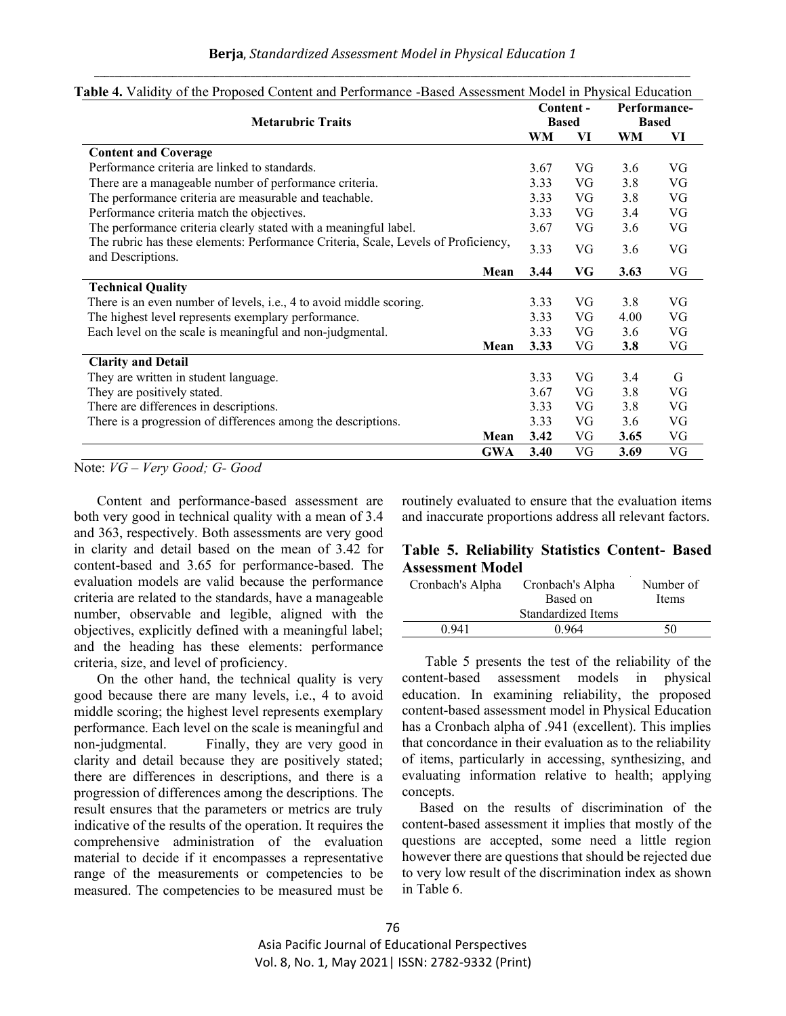|                                                                                    | Content -<br><b>Based</b> |    | Performance-<br><b>Based</b> |    |
|------------------------------------------------------------------------------------|---------------------------|----|------------------------------|----|
| <b>Metarubric Traits</b>                                                           |                           |    |                              |    |
|                                                                                    | WM                        | VI | WM                           | VI |
| <b>Content and Coverage</b>                                                        |                           |    |                              |    |
| Performance criteria are linked to standards.                                      | 3.67                      | VG | 3.6                          | VG |
| There are a manageable number of performance criteria.                             | 3.33                      | VG | 3.8                          | VG |
| The performance criteria are measurable and teachable.                             | 3.33                      | VG | 3.8                          | VG |
| Performance criteria match the objectives.                                         | 3.33                      | VG | 3.4                          | VG |
| The performance criteria clearly stated with a meaningful label.                   | 3.67                      | VG | 3.6                          | VG |
| The rubric has these elements: Performance Criteria, Scale, Levels of Proficiency, | 3.33                      | VG | 3.6                          | VG |
| and Descriptions.                                                                  |                           |    |                              | VG |
| Mean                                                                               | 3.44                      | VG | 3.63                         |    |
| <b>Technical Quality</b>                                                           |                           |    |                              |    |
| There is an even number of levels, i.e., 4 to avoid middle scoring.                | 3.33                      | VG | 3.8                          | VG |
| The highest level represents exemplary performance.                                | 3.33                      | VG | 4.00                         | VG |
| Each level on the scale is meaningful and non-judgmental.                          | 3.33                      | VG | 3.6                          | VG |
| Mean                                                                               | 3.33                      | VG | 3.8                          | VG |
| <b>Clarity and Detail</b>                                                          |                           |    |                              |    |
| They are written in student language.                                              | 3.33                      | VG | 3.4                          | G  |
| They are positively stated.                                                        | 3.67                      | VG | 3.8                          | VG |
| There are differences in descriptions.                                             | 3.33                      | VG | 3.8                          | VG |
| There is a progression of differences among the descriptions.                      | 3.33                      | VG | 3.6                          | VG |
| Mean                                                                               | 3.42                      | VG | 3.65                         | VG |
| <b>GWA</b>                                                                         | 3.40                      | VG | 3.69                         | VG |

#### **Table 4.** Validity of the Proposed Content and Performance -Based Assessment Model in Physical Education

#### Note: *VG – Very Good; G- Good*

Content and performance-based assessment are both very good in technical quality with a mean of 3.4 and 363, respectively. Both assessments are very good in clarity and detail based on the mean of 3.42 for content-based and 3.65 for performance-based. The evaluation models are valid because the performance criteria are related to the standards, have a manageable number, observable and legible, aligned with the objectives, explicitly defined with a meaningful label; and the heading has these elements: performance criteria, size, and level of proficiency.

On the other hand, the technical quality is very good because there are many levels, i.e., 4 to avoid middle scoring; the highest level represents exemplary performance. Each level on the scale is meaningful and non-judgmental. Finally, they are very good in clarity and detail because they are positively stated; there are differences in descriptions, and there is a progression of differences among the descriptions. The result ensures that the parameters or metrics are truly indicative of the results of the operation. It requires the comprehensive administration of the evaluation material to decide if it encompasses a representative range of the measurements or competencies to be measured. The competencies to be measured must be

routinely evaluated to ensure that the evaluation items and inaccurate proportions address all relevant factors.

# **Table 5. Reliability Statistics Content- Based Assessment Model**

| Cronbach's Alpha | Cronbach's Alpha   | Number of |  |  |
|------------------|--------------------|-----------|--|--|
|                  | Based on           | Items     |  |  |
|                  | Standardized Items |           |  |  |
| 0.941            | 0.964              | 50        |  |  |

Table 5 presents the test of the reliability of the content-based assessment models in physical education. In examining reliability, the proposed content-based assessment model in Physical Education has a Cronbach alpha of .941 (excellent). This implies that concordance in their evaluation as to the reliability of items, particularly in accessing, synthesizing, and evaluating information relative to health; applying concepts.

Based on the results of discrimination of the content-based assessment it implies that mostly of the questions are accepted, some need a little region however there are questions that should be rejected due to very low result of the discrimination index as shown in Table 6.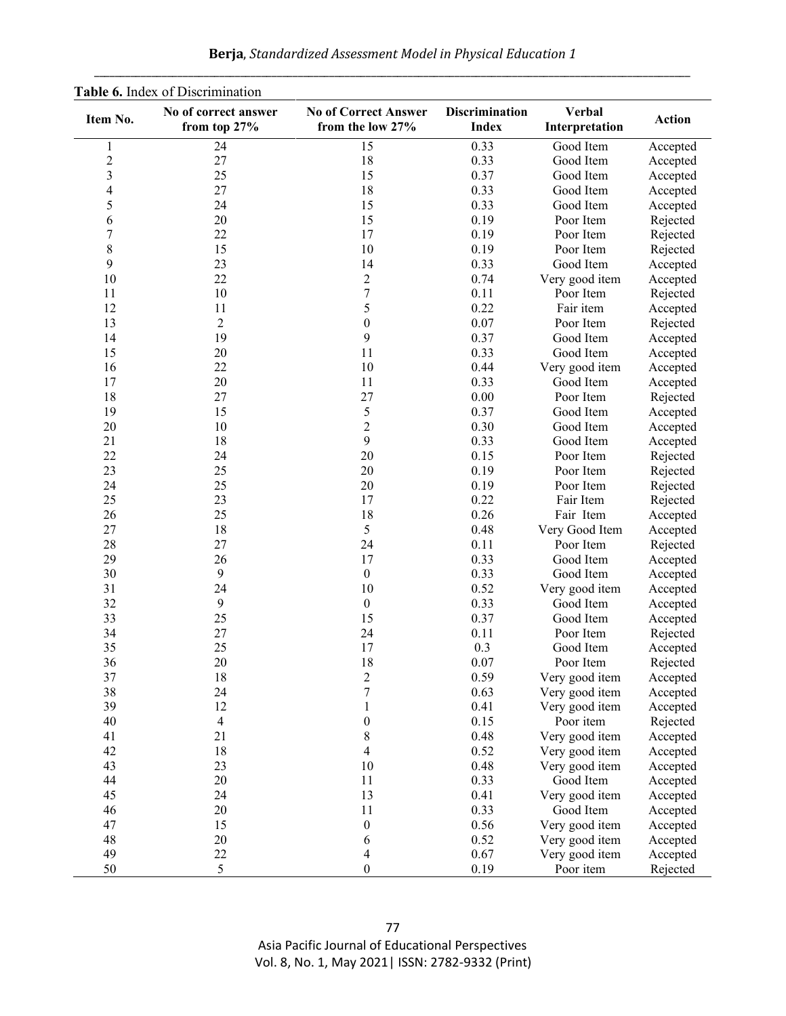| Table 6. Index of Discrimination |                                      |                                                 |                                       |                                 |               |  |
|----------------------------------|--------------------------------------|-------------------------------------------------|---------------------------------------|---------------------------------|---------------|--|
| Item No.                         | No of correct answer<br>from top 27% | <b>No of Correct Answer</b><br>from the low 27% | <b>Discrimination</b><br><b>Index</b> | <b>Verbal</b><br>Interpretation | <b>Action</b> |  |
| $\mathbf{1}$                     | 24                                   | 15                                              | 0.33                                  | Good Item                       | Accepted      |  |
| $\overline{c}$                   | 27                                   | 18                                              | 0.33                                  | Good Item                       | Accepted      |  |
| $\overline{\mathbf{3}}$          | 25                                   | 15                                              | 0.37                                  | Good Item                       | Accepted      |  |
| 4                                | 27                                   | 18                                              | 0.33                                  | Good Item                       | Accepted      |  |
| 5                                | 24                                   | 15                                              | 0.33                                  | Good Item                       | Accepted      |  |
| 6                                | 20                                   | 15                                              | 0.19                                  | Poor Item                       | Rejected      |  |
| $\boldsymbol{7}$                 | 22                                   | 17                                              | 0.19                                  | Poor Item                       | Rejected      |  |
| $\,$ 8 $\,$                      | 15                                   | 10                                              | 0.19                                  | Poor Item                       | Rejected      |  |
| 9                                | 23                                   | 14                                              | 0.33                                  | Good Item                       | Accepted      |  |
| 10                               | 22                                   | $\overline{2}$                                  | 0.74                                  | Very good item                  | Accepted      |  |
| 11                               | 10                                   | 7                                               | 0.11                                  | Poor Item                       | Rejected      |  |
| 12                               | 11                                   | 5                                               | 0.22                                  | Fair item                       | Accepted      |  |
| 13                               | $\overline{2}$                       | $\boldsymbol{0}$                                | 0.07                                  | Poor Item                       | Rejected      |  |
| 14                               | 19                                   | 9                                               | 0.37                                  | Good Item                       | Accepted      |  |
| 15                               | 20                                   | 11                                              | 0.33                                  | Good Item                       | Accepted      |  |
| 16                               | 22                                   | 10                                              | 0.44                                  | Very good item                  | Accepted      |  |
| 17                               | 20                                   | 11                                              | 0.33                                  | Good Item                       | Accepted      |  |
| 18                               | 27                                   | 27                                              | 0.00                                  | Poor Item                       | Rejected      |  |
| 19                               | 15                                   | 5                                               | 0.37                                  | Good Item                       | Accepted      |  |
| 20                               | 10                                   | $\mathfrak 2$                                   | 0.30                                  | Good Item                       | Accepted      |  |
| 21                               | 18                                   | 9                                               | 0.33                                  | Good Item                       | Accepted      |  |
| 22                               | 24                                   | 20                                              | 0.15                                  | Poor Item                       | Rejected      |  |
| 23                               | 25                                   | 20                                              | 0.19                                  | Poor Item                       | Rejected      |  |
| 24                               | 25                                   | 20                                              | 0.19                                  | Poor Item                       | Rejected      |  |
| 25                               | 23                                   | 17                                              | 0.22                                  | Fair Item                       | Rejected      |  |
| 26                               | 25                                   | 18                                              | 0.26                                  | Fair Item                       | Accepted      |  |
| 27                               | 18                                   | 5                                               | 0.48                                  | Very Good Item                  | Accepted      |  |
| 28                               | 27                                   | 24                                              | 0.11                                  | Poor Item                       | Rejected      |  |
| 29                               | 26                                   | 17                                              | 0.33                                  | Good Item                       | Accepted      |  |
| 30                               | 9                                    | $\boldsymbol{0}$                                | 0.33                                  | Good Item                       | Accepted      |  |
| 31                               | 24                                   | 10                                              | 0.52                                  | Very good item                  | Accepted      |  |
| 32                               | 9                                    | $\boldsymbol{0}$                                | 0.33                                  | Good Item                       | Accepted      |  |
| 33                               | 25                                   | 15                                              | 0.37                                  | Good Item                       | Accepted      |  |
| 34                               | 27                                   | 24                                              | 0.11                                  | Poor Item                       | Rejected      |  |
| 35                               | 25                                   | 17                                              | 0.3                                   | Good Item                       | Accepted      |  |
| 36                               | 20                                   | 18                                              | 0.07                                  | Poor Item                       | Rejected      |  |
| 37                               | 18                                   | $\overline{c}$                                  | 0.59                                  | Very good item                  | Accepted      |  |
| 38                               | 24                                   | $\sqrt{ }$                                      | 0.63                                  | Very good item                  | Accepted      |  |
| 39                               | 12                                   | $\mathbf{1}$                                    | 0.41                                  | Very good item                  | Accepted      |  |
| 40                               | $\overline{4}$                       | $\boldsymbol{0}$                                | 0.15                                  | Poor item                       | Rejected      |  |
| 41                               | 21                                   | $8\,$                                           | 0.48                                  | Very good item                  | Accepted      |  |
| 42                               | 18                                   | $\overline{\mathcal{A}}$                        | 0.52                                  | Very good item                  | Accepted      |  |
| 43                               | 23                                   | 10                                              | 0.48                                  | Very good item                  | Accepted      |  |
| 44                               | 20                                   | 11                                              | 0.33                                  | Good Item                       | Accepted      |  |
| 45                               | 24                                   | 13                                              | 0.41                                  | Very good item                  | Accepted      |  |
| 46                               | 20                                   | 11                                              | 0.33                                  | Good Item                       | Accepted      |  |
| 47                               | 15                                   | $\boldsymbol{0}$                                | 0.56                                  | Very good item                  | Accepted      |  |
| 48                               | 20                                   | 6                                               | 0.52                                  | Very good item                  | Accepted      |  |
| 49                               | 22                                   | 4                                               | 0.67                                  | Very good item                  | Accepted      |  |
| 50                               | 5                                    | $\boldsymbol{0}$                                | 0.19                                  | Poor item                       | Rejected      |  |

**Berja**, *Standardized Assessment Model in Physical Education 1* \_\_\_\_\_\_\_\_\_\_\_\_\_\_\_\_\_\_\_\_\_\_\_\_\_\_\_\_\_\_\_\_\_\_\_\_\_\_\_\_\_\_\_\_\_\_\_\_\_\_\_\_\_\_\_\_\_\_\_\_\_\_\_\_\_\_\_\_\_\_\_\_\_\_\_\_\_\_\_\_\_\_\_\_\_\_\_\_\_\_\_\_\_\_\_\_\_\_\_\_\_\_\_\_\_\_\_\_\_\_\_\_\_\_